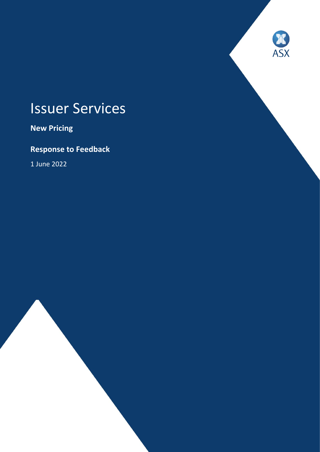# Issuer Services

**ASX** 

**New Pricing**

**Response to Feedback**

1 June 2022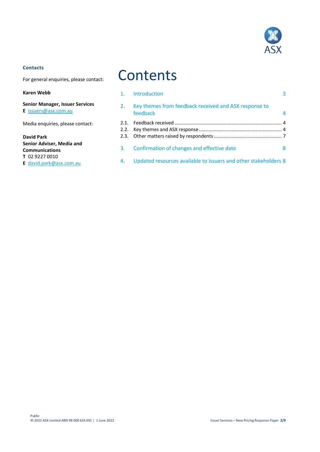

#### **Contacts**

For general enquiries, please contact:

#### **Karen Webb**

**Senior Manager, Issuer Services E** [issuers@asx.com.au](mailto:issuers@asx.com.au)

Media enquiries, please contact:

**David Park Senior Adviser, Media and Communications T** 02 9227 0010 **E** [david.park@asx.com.au](mailto:david.park@asx.com.au)

## **Contents**

| 1. Introduction                                                      | 3 |
|----------------------------------------------------------------------|---|
| 2. Key themes from feedback received and ASX response to<br>feedback | 4 |
|                                                                      |   |
| 3. Confirmation of changes and effective date                        | 8 |
| 4. Updated resources available to issuers and other stakeholders 8   |   |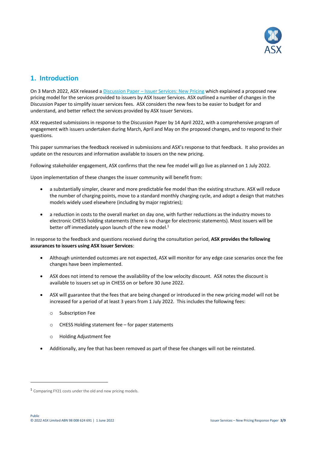

## **1. Introduction**

On 3 March 2022, ASX released a Discussion Paper – [Issuer Services: New Pricing](https://www2.asx.com.au/content/dam/asx/issuers/issuer-services/issuer-services-discussion-paper-new-pricing.pdf) which explained a proposed new pricing model for the services provided to issuers by ASX Issuer Services. ASX outlined a number of changes in the Discussion Paper to simplify issuer services fees. ASX considers the new fees to be easier to budget for and understand, and better reflect the services provided by ASX Issuer Services.

ASX requested submissions in response to the Discussion Paper by 14 April 2022, with a comprehensive program of engagement with issuers undertaken during March, April and May on the proposed changes, and to respond to their questions.

This paper summarises the feedback received in submissions and ASX's response to that feedback. It also provides an update on the resources and information available to issuers on the new pricing.

Following stakeholder engagement, ASX confirms that the new fee model will go live as planned on 1 July 2022.

Upon implementation of these changes the issuer community will benefit from:

- a substantially simpler, clearer and more predictable fee model than the existing structure. ASX will reduce the number of charging points, move to a standard monthly charging cycle, and adopt a design that matches models widely used elsewhere (including by major registries);
- a reduction in costs to the overall market on day one, with further reductions as the industry moves to electronic CHESS holding statements (there is no charge for electronic statements). Most issuers will be better off immediately upon launch of the new model.<sup>1</sup>

In response to the feedback and questions received during the consultation period, **ASX provides the following assurances to issuers using ASX Issuer Services**:

- Although unintended outcomes are not expected, ASX will monitor for any edge case scenarios once the fee changes have been implemented.
- ASX does not intend to remove the availability of the low velocity discount. ASX notes the discount is available to issuers set up in CHESS on or before 30 June 2022.
- ASX will guarantee that the fees that are being changed or introduced in the new pricing model will not be increased for a period of at least 3 years from 1 July 2022. This includes the following fees:
	- o Subscription Fee
	- o CHESS Holding statement fee for paper statements
	- o Holding Adjustment fee
- Additionally, any fee that has been removed as part of these fee changes will not be reinstated.

.

<sup>&</sup>lt;sup>1</sup> Comparing FY21 costs under the old and new pricing models.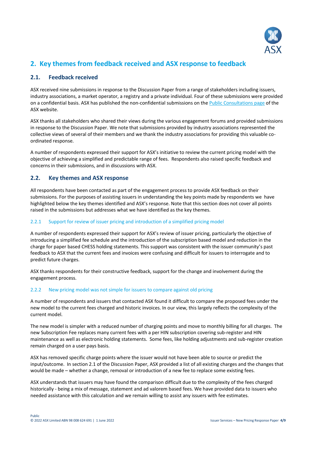

## **2. Key themes from feedback received and ASX response to feedback**

#### **2.1. Feedback received**

ASX received nine submissions in response to the Discussion Paper from a range of stakeholders including issuers, industry associations, a market operator, a registry and a private individual. Four of these submissions were provided on a confidential basis. ASX has published the non-confidential submissions on th[e Public Consultations page](https://www.asx.com.au/regulation/public-consultations.htm) of the ASX website.

ASX thanks all stakeholders who shared their views during the various engagement forums and provided submissions in response to the Discussion Paper. We note that submissions provided by industry associations represented the collective views of several of their members and we thank the industry associations for providing this valuable coordinated response.

A number of respondents expressed their support for ASX's initiative to review the current pricing model with the objective of achieving a simplified and predictable range of fees. Respondents also raised specific feedback and concerns in their submissions, and in discussions with ASX.

#### **2.2. Key themes and ASX response**

All respondents have been contacted as part of the engagement process to provide ASX feedback on their submissions. For the purposes of assisting issuers in understanding the key points made by respondents we have highlighted below the key themes identified and ASX's response. Note that this section does not cover all points raised in the submissions but addresses what we have identified as the key themes.

#### 2.2.1 Support for review of issuer pricing and introduction of a simplified pricing model

A number of respondents expressed their support for ASX's review of issuer pricing, particularly the objective of introducing a simplified fee schedule and the introduction of the subscription based model and reduction in the charge for paper based CHESS holding statements. This support was consistent with the issuer community's past feedback to ASX that the current fees and invoices were confusing and difficult for issuers to interrogate and to predict future charges.

ASX thanks respondents for their constructive feedback, support for the change and involvement during the engagement process.

#### 2.2.2 New pricing model was not simple for issuers to compare against old pricing

A number of respondents and issuers that contacted ASX found it difficult to compare the proposed fees under the new model to the current fees charged and historic invoices. In our view, this largely reflects the complexity of the current model.

The new model is simpler with a reduced number of charging points and move to monthly billing for all charges. The new Subscription Fee replaces many current fees with a per HIN subscription covering sub-register and HIN maintenance as well as electronic holding statements. Some fees, like holding adjustments and sub-register creation remain charged on a user pays basis.

ASX has removed specific charge points where the issuer would not have been able to source or predict the input/outcome. In section 2.1 of the Discussion Paper, ASX provided a list of all existing charges and the changes that would be made – whether a change, removal or introduction of a new fee to replace some existing fees.

ASX understands that issuers may have found the comparison difficult due to the complexity of the fees charged historically - being a mix of message, statement and ad valorem based fees. We have provided data to issuers who needed assistance with this calculation and we remain willing to assist any issuers with fee estimates.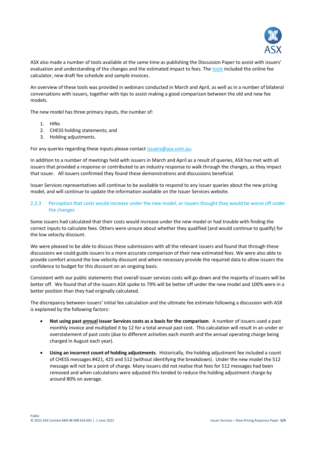

ASX also made a number of tools available at the same time as publishing the Discussion Paper to assist with issuers' evaluation and understanding of the changes and the estimated impact to fees. The [tools](https://www2.asx.com.au/issuers/issuer-services/tools-and-resources) included the online fee calculator, new draft fee schedule and sample invoices.

An overview of these tools was provided in webinars conducted in March and April, as well as in a number of bilateral conversations with issuers, together with tips to assist making a good comparison between the old and new fee models.

The new model has three primary inputs, the number of:

- 1. HINs
- 2. CHESS holding statements; and
- 3. Holding adjustments.

For any queries regarding these inputs please contac[t issuers@asx.com.au.](mailto:issuers@asx.com.au)

In addition to a number of meetings held with issuers in March and April as a result of queries, ASX has met with all issuers that provided a response or contributed to an industry response to walk through the changes, as they impact that issuer. All issuers confirmed they found these demonstrations and discussions beneficial.

Issuer Services representatives will continue to be available to respond to any issuer queries about the new pricing model, and will continue to update the information available on the Issuer Services website.

#### 2.2.3 Perception that costs would increase under the new model, or issuers thought they would be worse off under the changes

Some issuers had calculated that their costs would increase under the new model or had trouble with finding the correct inputs to calculate fees. Others were unsure about whether they qualified (and would continue to qualify) for the low velocity discount.

We were pleased to be able to discuss these submissions with all the relevant issuers and found that through these discussions we could guide issuers to a more accurate comparison of their new estimated fees. We were also able to provide comfort around the low velocity discount and where necessary provide the required data to allow issuers the confidence to budget for this discount on an ongoing basis.

Consistent with our public statements that overall issuer services costs will go down and the majority of issuers will be better off. We found that of the issuers ASX spoke to 79% will be better off under the new model and 100% were in a better position than they had originally calculated.

The discrepancy between issuers' initial fee calculation and the ultimate fee estimate following a discussion with ASX is explained by the following factors:

- **Not using past annual Issuer Services costs as a basis for the comparison**. A number of issuers used a past monthly invoice and multiplied it by 12 for a total annual past cost. This calculation will result in an under or overstatement of past costs (due to different activities each month and the annual operating charge being charged in August each year).
- **Using an incorrect count of holding adjustments**. Historically, the holding adjustment fee included a count of CHESS messages #421, 425 and 512 (without identifying the breakdown). Under the new model the 512 message will not be a point of charge. Many issuers did not realise that fees for 512 messages had been removed and when calculations were adjusted this tended to reduce the holding adjustment charge by around 80% on average.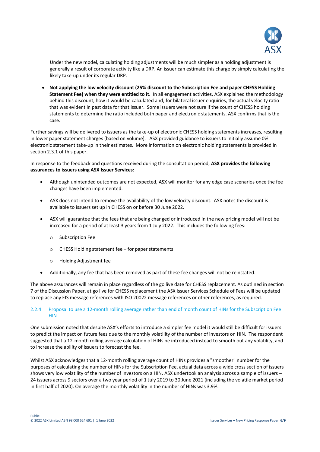

Under the new model, calculating holding adjustments will be much simpler as a holding adjustment is generally a result of corporate activity like a DRP. An issuer can estimate this charge by simply calculating the likely take-up under its regular DRP.

 **Not applying the low velocity discount (25% discount to the Subscription Fee and paper CHESS Holding Statement Fee) when they were entitled to it.** In all engagement activities, ASX explained the methodology behind this discount, how it would be calculated and, for bilateral issuer enquiries, the actual velocity ratio that was evident in past data for that issuer. Some issuers were not sure if the count of CHESS holding statements to determine the ratio included both paper and electronic statements. ASX confirms that is the case.

Further savings will be delivered to issuers as the take-up of electronic CHESS holding statements increases, resulting in lower paper statement charges (based on volume). ASX provided guidance to issuers to initially assume 0% electronic statement take-up in their estimates. More information on electronic holding statements is provided in section 2.3.1 of this paper.

In response to the feedback and questions received during the consultation period, **ASX provides the following assurances to issuers using ASX Issuer Services**:

- Although unintended outcomes are not expected, ASX will monitor for any edge case scenarios once the fee changes have been implemented.
- ASX does not intend to remove the availability of the low velocity discount. ASX notes the discount is available to issuers set up in CHESS on or before 30 June 2022.
- ASX will guarantee that the fees that are being changed or introduced in the new pricing model will not be increased for a period of at least 3 years from 1 July 2022. This includes the following fees:
	- o Subscription Fee
	- o CHESS Holding statement fee for paper statements
	- o Holding Adjustment fee
- Additionally, any fee that has been removed as part of these fee changes will not be reinstated.

The above assurances will remain in place regardless of the go live date for CHESS replacement. As outlined in section 7 of the Discussion Paper, at go live for CHESS replacement the ASX Issuer Services Schedule of Fees will be updated to replace any EIS message references with ISO 20022 message references or other references, as required.

#### 2.2.4 Proposal to use a 12-month rolling average rather than end of month count of HINs for the Subscription Fee **HIN**

One submission noted that despite ASX's efforts to introduce a simpler fee model it would still be difficult for issuers to predict the impact on future fees due to the monthly volatility of the number of investors on HIN. The respondent suggested that a 12-month rolling average calculation of HINs be introduced instead to smooth out any volatility, and to increase the ability of issuers to forecast the fee.

Whilst ASX acknowledges that a 12-month rolling average count of HINs provides a "smoother" number for the purposes of calculating the number of HINs for the Subscription Fee, actual data across a wide cross section of issuers shows very low volatility of the number of investors on a HIN. ASX undertook an analysis across a sample of issuers – 24 issuers across 9 sectors over a two year period of 1 July 2019 to 30 June 2021 (including the volatile market period in first half of 2020). On average the monthly volatility in the number of HINs was 3.9%.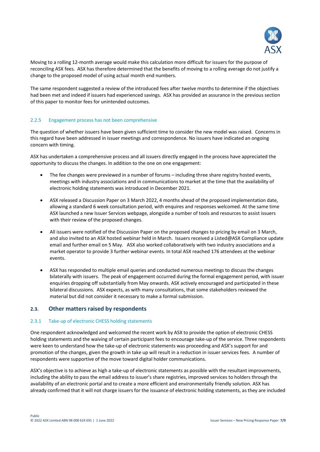

Moving to a rolling 12-month average would make this calculation more difficult for issuers for the purpose of reconciling ASX fees. ASX has therefore determined that the benefits of moving to a rolling average do not justify a change to the proposed model of using actual month end numbers.

The same respondent suggested a review of the introduced fees after twelve months to determine if the objectives had been met and indeed if issuers had experienced savings. ASX has provided an assurance in the previous section of this paper to monitor fees for unintended outcomes.

#### 2.2.5 Engagement process has not been comprehensive

The question of whether issuers have been given sufficient time to consider the new model was raised. Concerns in this regard have been addressed in issuer meetings and correspondence. No issuers have indicated an ongoing concern with timing.

ASX has undertaken a comprehensive process and all issuers directly engaged in the process have appreciated the opportunity to discuss the changes. In addition to the one on one engagement:

- The fee changes were previewed in a number of forums including three share registry hosted events, meetings with industry associations and in communications to market at the time that the availability of electronic holding statements was introduced in December 2021.
- ASX released a Discussion Paper on 3 March 2022, 4 months ahead of the proposed implementation date, allowing a standard 6 week consultation period, with enquires and responses welcomed. At the same time ASX launched a new Issuer Services webpage, alongside a number of tools and resources to assist issuers with their review of the proposed changes.
- All issuers were notified of the Discussion Paper on the proposed changes to pricing by email on 3 March, and also invited to an ASX hosted webinar held in March. Issuers received a Listed@ASX Compliance update email and further email on 5 May. ASX also worked collaboratively with two industry associations and a market operator to provide 3 further webinar events. In total ASX reached 176 attendees at the webinar events.
- ASX has responded to multiple email queries and conducted numerous meetings to discuss the changes bilaterally with issuers. The peak of engagement occurred during the formal engagement period, with issuer enquiries dropping off substantially from May onwards. ASX actively encouraged and participated in these bilateral discussions. ASX expects, as with many consultations, that some stakeholders reviewed the material but did not consider it necessary to make a formal submission.

#### **2.3. Other matters raised by respondents**

#### 2.3.1 Take-up of electronic CHESS holding statements

One respondent acknowledged and welcomed the recent work by ASX to provide the option of electronic CHESS holding statements and the waiving of certain participant fees to encourage take-up of the service. Three respondents were keen to understand how the take-up of electronic statements was proceeding and ASX's support for and promotion of the changes, given the growth in take up will result in a reduction in issuer services fees. A number of respondents were supportive of the move toward digital holder communications.

ASX's objective is to achieve as high a take-up of electronic statements as possible with the resultant improvements, including the ability to pass the email address to issuer's share registries, improved services to holders through the availability of an electronic portal and to create a more efficient and environmentally friendly solution. ASX has already confirmed that it will not charge issuers for the issuance of electronic holding statements, as they are included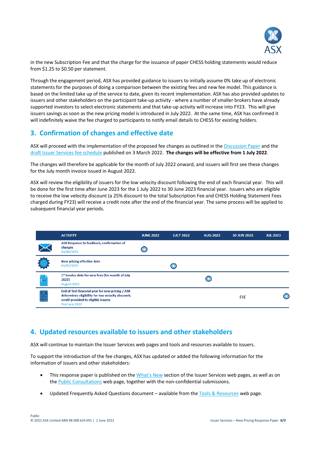

in the new Subscription Fee and that the charge for the issuance of paper CHESS holding statements would reduce from \$1.25 to \$0.50 per statement.

Through the engagement period, ASX has provided guidance to issuers to initially assume 0% take up of electronic statements for the purposes of doing a comparison between the existing fees and new fee model. This guidance is based on the limited take up of the service to date, given its recent implementation. ASX has also provided updates to issuers and other stakeholders on the participant take-up activity - where a number of smaller brokers have already supported investors to select electronic statements and that take-up activity will increase into FY23. This will give issuers savings as soon as the new pricing model is introduced in July 2022. At the same time, ASX has confirmed it will indefinitely waive the fee charged to participants to notify email details to CHESS for existing holders.

## **3. Confirmation of changes and effective date**

ASX will proceed with the implementation of the proposed fee changes as outlined in th[e Discussion Paper](https://www2.asx.com.au/content/dam/asx/issuers/issuer-services/issuer-services-discussion-paper-new-pricing.pdf) and the [draft Issuer Services fee schedule](https://www2.asx.com.au/content/dam/asx/issuers/issuer-services/draft-asx-issuer-services-schedule-of-fees-effective-01-july-2022.pdf) published on 3 March 2022. **The changes will be effective from 1 July 2022**.

The changes will therefore be applicable for the month of July 2022 onward, and issuers will first see these changes for the July month invoice issued in August 2022.

ASX will review the eligibility of issuers for the low velocity discount following the end of each financial year. This will be done for the first time after June 2023 for the 1 July 2022 to 30 June 2023 financial year. Issuers who are eligible to receive the low velocity discount (a 25% discount to the total Subscription Fee and CHESS Holding Statement Fees charged during FY23) will receive a credit note after the end of the financial year. The same process will be applied to subsequent financial year periods.

|                | <b>ACTIVITY</b>                                                                                                                                                 | <b>JUNE 2022</b>         | <b>JULY 2022</b> | <b>AUG 2022</b> | 30 JUN 2023 | <b>JUL 2023</b> |
|----------------|-----------------------------------------------------------------------------------------------------------------------------------------------------------------|--------------------------|------------------|-----------------|-------------|-----------------|
|                | ASX Response to feedback, confirmation of<br>changes<br>01/06/2022                                                                                              | $\left( \bullet \right)$ |                  |                 |             |                 |
|                | New pricing effective date<br>01/07/2022                                                                                                                        |                          | $\bullet$        |                 |             |                 |
| Sxxx           | 1st Invoice date for new fees (for month of July<br>2022)<br>August 2022                                                                                        |                          |                  |                 |             |                 |
| <b>Filling</b> | End of first financial year for new pricing / ASX<br>determines eligibility for low velocity discount;<br>credit provided to eligible issuers<br>Post July 2023 |                          |                  |                 | <b>FYE</b>  | $\bullet$       |

### **4. Updated resources available to issuers and other stakeholders**

ASX will continue to maintain the Issuer Services web pages and tools and resources available to issuers.

To support the introduction of the fee changes, ASX has updated or added the following information for the information of issuers and other stakeholders:

- This response paper is published on the [What's New](https://www2.asx.com.au/issuers/issuer-services/our-services?#new) section of the Issuer Services web pages, as well as on th[e Public Consultations](https://www2.asx.com.au/about/regulation/public-consultations) web page, together with the non-confidential submissions.
- Updated Frequently Asked Questions document available from th[e Tools & Resources](https://www2.asx.com.au/issuers/issuer-services/tools-and-resources) web page.